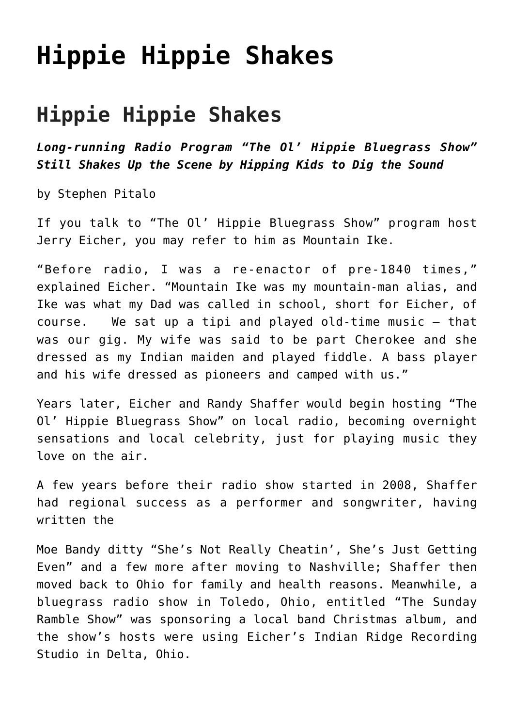## **[Hippie Hippie Shakes](https://thebluegrassstandard.com/hippie-hippie-shakes/)**

## **Hippie Hippie Shakes**

*Long-running Radio Program "The Ol' Hippie Bluegrass Show" Still Shakes Up the Scene by Hipping Kids to Dig the Sound*

by Stephen Pitalo

If you talk to "The Ol' Hippie Bluegrass Show" program host Jerry Eicher, you may refer to him as Mountain Ike.

"Before radio, I was a re-enactor of pre-1840 times," explained Eicher. "Mountain Ike was my mountain-man alias, and Ike was what my Dad was called in school, short for Eicher, of course. We sat up a tipi and played old-time music – that was our gig. My wife was said to be part Cherokee and she dressed as my Indian maiden and played fiddle. A bass player and his wife dressed as pioneers and camped with us."

Years later, Eicher and Randy Shaffer would begin hosting "The Ol' Hippie Bluegrass Show" on local radio, becoming overnight sensations and local celebrity, just for playing music they love on the air.

A few years before their radio show started in 2008, Shaffer had regional success as a performer and songwriter, having written the

Moe Bandy ditty "She's Not Really Cheatin', She's Just Getting Even" and a few more after moving to Nashville; Shaffer then moved back to Ohio for family and health reasons. Meanwhile, a bluegrass radio show in Toledo, Ohio, entitled "The Sunday Ramble Show" was sponsoring a local band Christmas album, and the show's hosts were using Eicher's Indian Ridge Recording Studio in Delta, Ohio.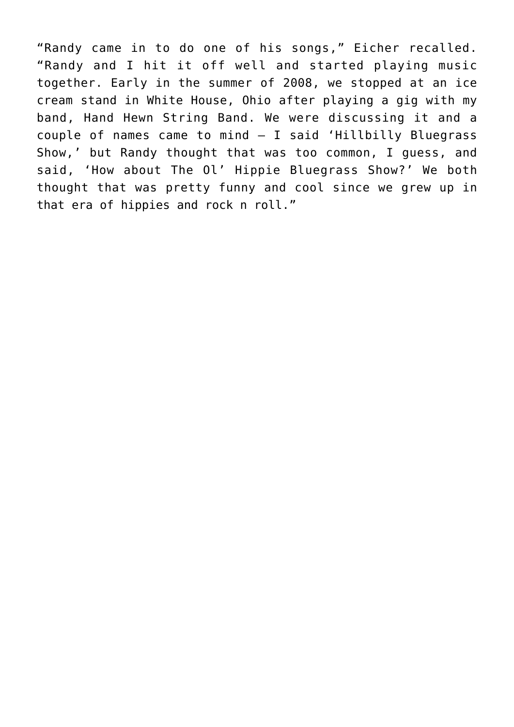"Randy came in to do one of his songs," Eicher recalled. "Randy and I hit it off well and started playing music together. Early in the summer of 2008, we stopped at an ice cream stand in White House, Ohio after playing a gig with my band, Hand Hewn String Band. We were discussing it and a couple of names came to mind — I said 'Hillbilly Bluegrass Show,' but Randy thought that was too common, I guess, and said, 'How about The Ol' Hippie Bluegrass Show?' We both thought that was pretty funny and cool since we grew up in that era of hippies and rock n roll."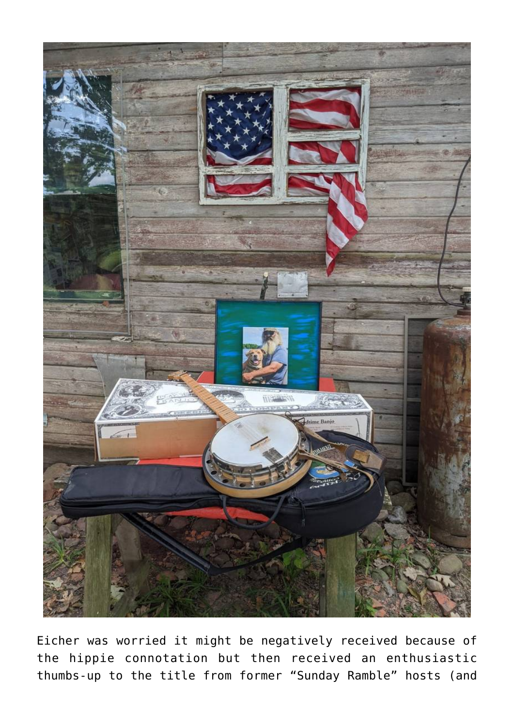

Eicher was worried it might be negatively received because of the hippie connotation but then received an enthusiastic thumbs-up to the title from former "Sunday Ramble" hosts (and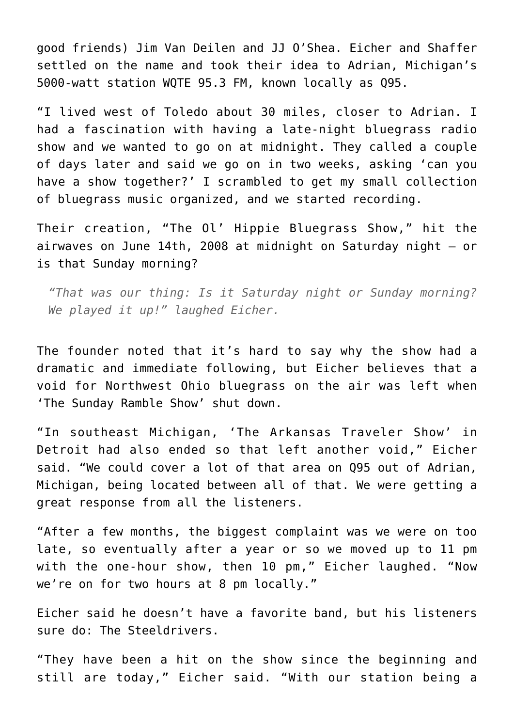good friends) Jim Van Deilen and JJ O'Shea. Eicher and Shaffer settled on the name and took their idea to Adrian, Michigan's 5000-watt station WQTE 95.3 FM, known locally as Q95.

"I lived west of Toledo about 30 miles, closer to Adrian. I had a fascination with having a late-night bluegrass radio show and we wanted to go on at midnight. They called a couple of days later and said we go on in two weeks, asking 'can you have a show together?' I scrambled to get my small collection of bluegrass music organized, and we started recording.

Their creation, "The Ol' Hippie Bluegrass Show," hit the airwaves on June 14th, 2008 at midnight on Saturday night — or is that Sunday morning?

*"That was our thing: Is it Saturday night or Sunday morning? We played it up!" laughed Eicher.*

The founder noted that it's hard to say why the show had a dramatic and immediate following, but Eicher believes that a void for Northwest Ohio bluegrass on the air was left when 'The Sunday Ramble Show' shut down.

"In southeast Michigan, 'The Arkansas Traveler Show' in Detroit had also ended so that left another void," Eicher said. "We could cover a lot of that area on Q95 out of Adrian, Michigan, being located between all of that. We were getting a great response from all the listeners.

"After a few months, the biggest complaint was we were on too late, so eventually after a year or so we moved up to 11 pm with the one-hour show, then 10 pm," Eicher laughed. "Now we're on for two hours at 8 pm locally."

Eicher said he doesn't have a favorite band, but his listeners sure do: The Steeldrivers.

"They have been a hit on the show since the beginning and still are today," Eicher said. "With our station being a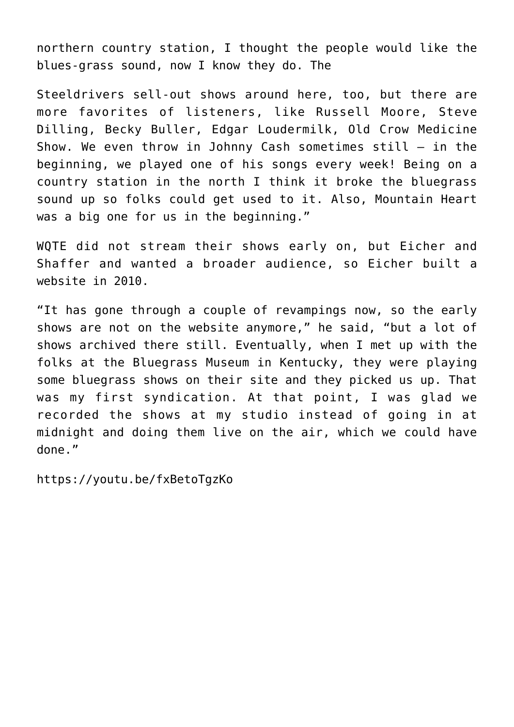northern country station, I thought the people would like the blues-grass sound, now I know they do. The

Steeldrivers sell-out shows around here, too, but there are more favorites of listeners, like Russell Moore, Steve Dilling, Becky Buller, Edgar Loudermilk, Old Crow Medicine Show. We even throw in Johnny Cash sometimes still – in the beginning, we played one of his songs every week! Being on a country station in the north I think it broke the bluegrass sound up so folks could get used to it. Also, Mountain Heart was a big one for us in the beginning."

WQTE did not stream their shows early on, but Eicher and Shaffer and wanted a broader audience, so Eicher built a website in 2010.

"It has gone through a couple of revampings now, so the early shows are not on the website anymore," he said, "but a lot of shows archived there still. Eventually, when I met up with the folks at the Bluegrass Museum in Kentucky, they were playing some bluegrass shows on their site and they picked us up. That was my first syndication. At that point, I was glad we recorded the shows at my studio instead of going in at midnight and doing them live on the air, which we could have done."

https://youtu.be/fxBetoTgzKo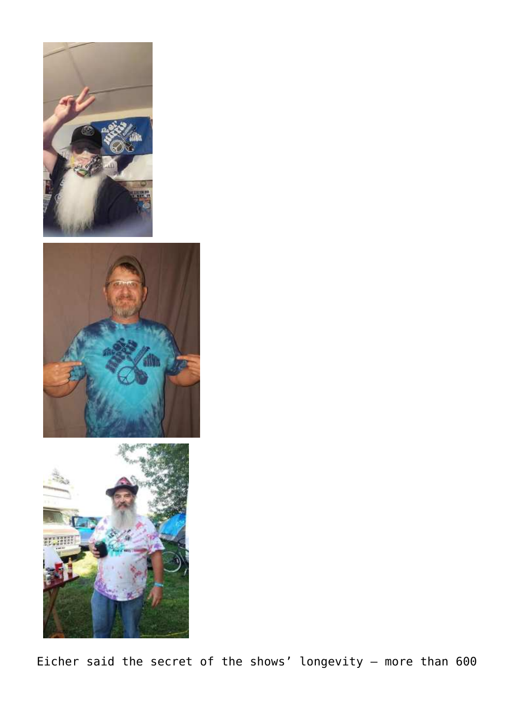





Eicher said the secret of the shows' longevity — more than 600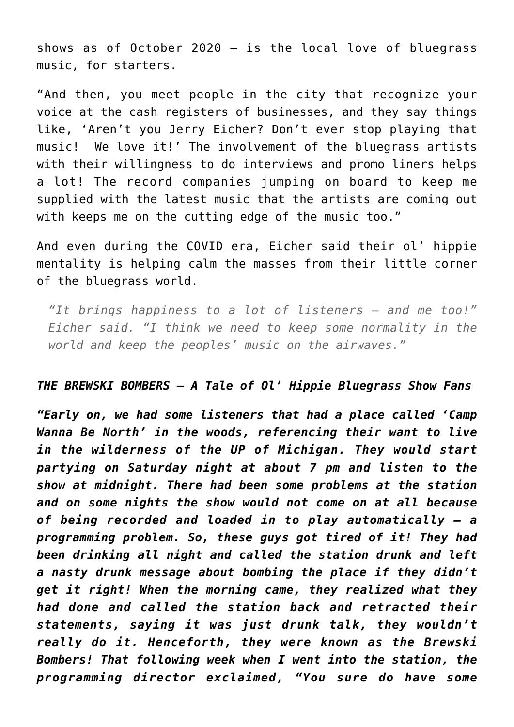shows as of October 2020  $-$  is the local love of bluegrass music, for starters.

"And then, you meet people in the city that recognize your voice at the cash registers of businesses, and they say things like, 'Aren't you Jerry Eicher? Don't ever stop playing that music! We love it!' The involvement of the bluegrass artists with their willingness to do interviews and promo liners helps a lot! The record companies jumping on board to keep me supplied with the latest music that the artists are coming out with keeps me on the cutting edge of the music too."

And even during the COVID era, Eicher said their ol' hippie mentality is helping calm the masses from their little corner of the bluegrass world.

*"It brings happiness to a lot of listeners — and me too!" Eicher said. "I think we need to keep some normality in the world and keep the peoples' music on the airwaves."*

## *THE BREWSKI BOMBERS – A Tale of Ol' Hippie Bluegrass Show Fans*

*"Early on, we had some listeners that had a place called 'Camp Wanna Be North' in the woods, referencing their want to live in the wilderness of the UP of Michigan. They would start partying on Saturday night at about 7 pm and listen to the show at midnight. There had been some problems at the station and on some nights the show would not come on at all because of being recorded and loaded in to play automatically – a programming problem. So, these guys got tired of it! They had been drinking all night and called the station drunk and left a nasty drunk message about bombing the place if they didn't get it right! When the morning came, they realized what they had done and called the station back and retracted their statements, saying it was just drunk talk, they wouldn't really do it. Henceforth, they were known as the Brewski Bombers! That following week when I went into the station, the programming director exclaimed, "You sure do have some*